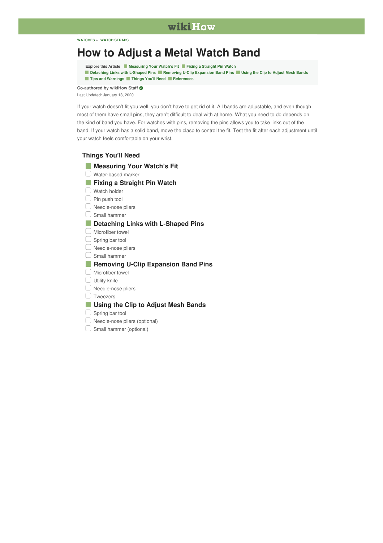### wikiHow

#### **[WATCHES](https://www.wikihow.com/Category:Watches) » WATCH [STRAPS](https://www.wikihow.com/Category:Watch-Straps)**

# **How to [Adjust](https://www.wikihow.com/Adjust-a-Metal-Watch-Band) a Metal Watch Band**

**Explore this Article [Measuring](#page-1-0) Your Watch's Fit Fixing a [Straight](#page-3-0) Pin Watch**

<span id="page-0-1"></span>[Detaching](#page-7-0) Links with L-Shaped Pins Removing U-Clip [Expansion](#page-10-0) Band Pins Dusing the Clip to [Adjust](#page-15-0) Mesh Bands **Tips and [Warnings](#page-17-0) [Things](#page-0-0) You'll Need [References](#page-17-1)**

**Co-authored by wikiHow Staff**

Last [Updated:](#page-0-1) January 13, 2020

If your watch doesn't fit you well, you don't have to get rid of it. All bands are adjustable, and even though most of them have small pins, they aren't difficult to deal with at home. What you need to do depends on the kind of band you have. For watches with pins, removing the pins allows you to take links out of the band. If your watch has a solid band, move the clasp to control the fit. Test the fit after each adjustment until your watch feels comfortable on your wrist.

#### **Things You'll Need**

<span id="page-0-0"></span>

| <b>Measuring Your Watch's Fit</b>          |
|--------------------------------------------|
| Water-based marker                         |
| <b>Fixing a Straight Pin Watch</b>         |
| Watch holder                               |
| Pin push tool                              |
| Needle-nose pliers                         |
| Small hammer                               |
| <b>Detaching Links with L-Shaped Pins</b>  |
| Microfiber towel                           |
| Spring bar tool                            |
| Needle-nose pliers                         |
| Small hammer                               |
| <b>Removing U-Clip Expansion Band Pins</b> |
| Microfiber towel                           |
| Utility knife                              |
| Needle-nose pliers                         |
| Tweezers                                   |
| Using the Clip to Adjust Mesh Bands        |
| Spring bar tool                            |
| Needle-nose pliers (optional)              |

Small hammer (optional)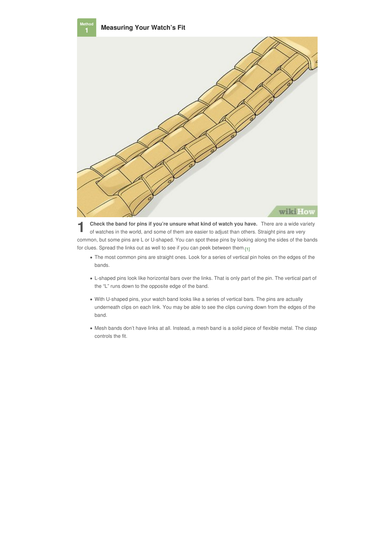<span id="page-1-0"></span>

**1** Check the band for pins if you're unsure what kind of watch you have. There are a wide variety of watches in the world, and some of them are easier to adjust than others. Straight pins are very **Check the band for pins if you're unsure what kind of watch you have.** There are a wide variety common, but some pins are L or U-shaped. You can spot these pins by looking along the sides of the bands for clues. Spread the links out as well to see if you can peek between them.<sub>[\[1\]](#page-17-2)</sub>

- <span id="page-1-1"></span>The most common pins are straight ones. Look for a series of vertical pin holes on the edges of the bands.
- L-shaped pins look like horizontal bars over the links. That is only part of the pin. The vertical part of the "L" runs down to the opposite edge of the band.
- With U-shaped pins, your watch band looks like a series of vertical bars. The pins are actually underneath clips on each link. You may be able to see the clips curving down from the edges of the band.
- Mesh bands don't have links at all. Instead, a mesh band is a solid piece of flexible metal. The clasp controls the fit.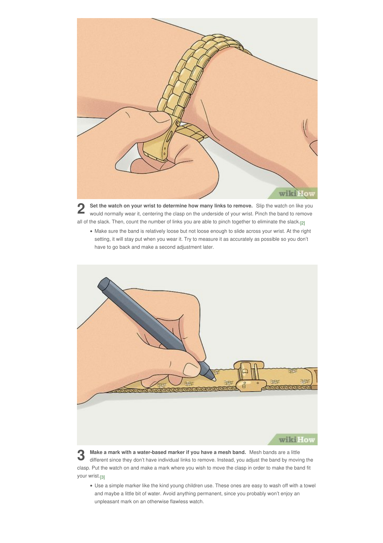

**2** Set the watch on your wrist to determine how many links to remove. Slip the watch on like you would normally wear it, centering the clasp on the underside of your wrist. Pinch the band to remove **Set the watch on your wrist to determine how many links to remove.** Slip the watch on like you all of the slack. Then, count the number of links you are able to pinch together to eliminate the slack. [\[2\]](#page-17-3)

<span id="page-2-0"></span>Make sure the band is relatively loose but not loose enough to slide across your wrist. At the right setting, it will stay put when you wear it. Try to measure it as accurately as possible so you don't have to go back and make a second adjustment later.



Make a mark with a water-based marker if you have a mesh band. Mesh bands are a little<br>different since they don't have individual links to remove. Instead, you adjust the band by moving the **Make a mark with a water-based marker if you have a mesh band.** Mesh bands are a little clasp. Put the watch on and make a mark where you wish to move the clasp in order to make the band fit your wrist.<sub>[\[3\]](#page-17-4)</sub>

<span id="page-2-1"></span>Use a simple marker like the kind young children use. These ones are easy to wash off with a towel and maybe a little bit of water. Avoid anything permanent, since you probably won't enjoy an unpleasant mark on an otherwise flawless watch.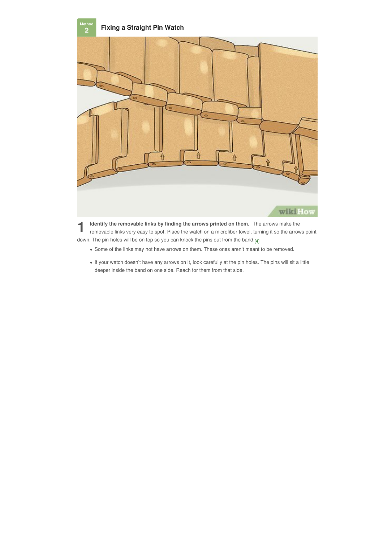<span id="page-3-0"></span>

**1** removable links very easy to spot. Place the watch on a microfiber towel, turning it so the arrows point **Identify the removable links by finding the arrows printed on them.** The arrows make the down. The pin holes will be on top so you can knock the pins out from the band.<sub>[\[4\]](#page-17-5)</sub>

- <span id="page-3-1"></span>Some of the links may not have arrows on them. These ones aren't meant to be removed.
- If your watch doesn't have any arrows on it, look carefully at the pin holes. The pins will sit a little deeper inside the band on one side. Reach for them from that side.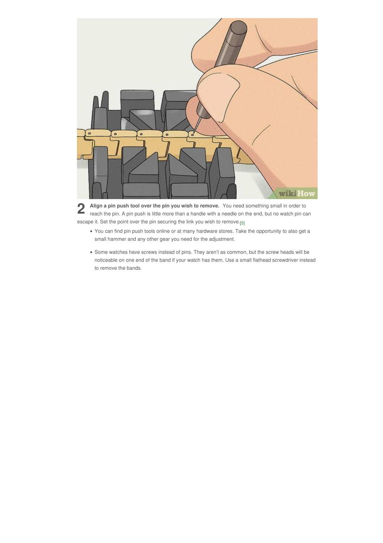

**2** Align a pin push tool over the pin you wish to remove. You need something small in order to reach the pin. A pin push is little more than a handle with a needle on the end, but no watch pin can **Align a pin push tool over the pin you wish to remove.** You need something small in order to escape it. Set the point over the pin securing the link you wish to remove.<sub>[\[5\]](#page-17-6)</sub>

- <span id="page-4-0"></span>You can find pin push tools online or at many hardware stores. Take the opportunity to also get a small hammer and any other gear you need for the adjustment.
- Some watches have screws instead of pins. They aren't as common, but the screw heads will be noticeable on one end of the band if your watch has them. Use a small flathead screwdriver instead to remove the bands.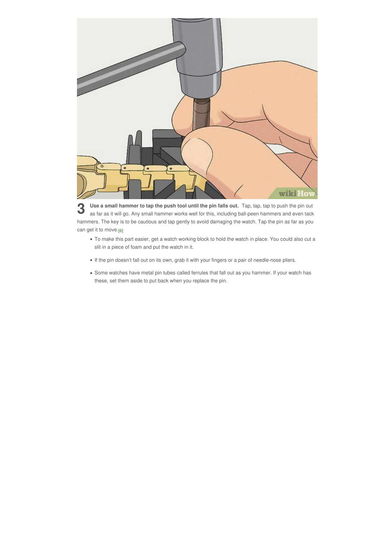

**3** Use a small hammer to tap the push tool until the pin falls out. Tap, tap, tap to push the pin out as far as it will go. Any small hammer works well for this, including ball-peen hammers and even tack **Use a small hammer to tap the push tool until the pin falls out.** Tap, tap, tap to push the pin out hammers. The key is to be cautious and tap gently to avoid damaging the watch. Tap the pin as far as you can get it to move.<sub>[\[6\]](#page-17-7)</sub>

- <span id="page-5-0"></span>To make this part easier, get a watch working block to hold the watch in place. You could also cut a slit in a piece of foam and put the watch in it.
- If the pin doesn't fall out on its own, grab it with your fingers or a pair of needle-nose pliers.
- Some watches have metal pin tubes called ferrules that fall out as you hammer. If your watch has these, set them aside to put back when you replace the pin.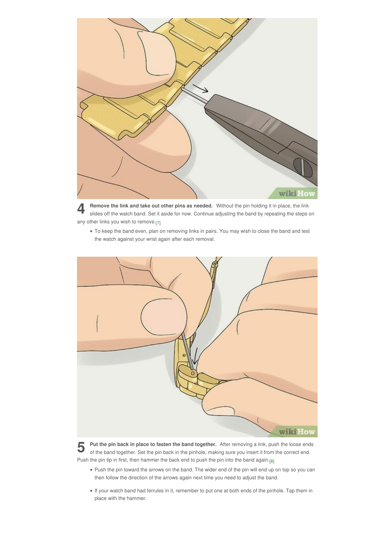

**4 6 1 hemove the link and take out other pins as needed.** Without the pin holding it in place, the link slides off the watch band. Set it aside for now. Continue adjusting the band by repeating the steps on **Remove the link and take out other pins as needed.** Without the pin holding itin place, the link any other links you wish to remove.<sub>[\[7\]](#page-17-8)</sub>

<span id="page-6-0"></span>To keep the band even, plan on removing links in pairs. You may wish to close the band and test the watch against your wrist again after each removal.



**5** Put the pin back in place to fasten the band together. After removing a link, push the loose ends of the band together. Set the pin back in the pinhole, making sure you insert it from the correct end. **Put the pin back in place to fasten the band together.** After removing a link, push the loose ends Push the pin tip in first, then hammer the back end to push the pin into the band again.<sub>[\[8\]](#page-17-9)</sub>

- <span id="page-6-1"></span>Push the pin toward the arrows on the band. The wider end of the pin will end up on top so you can then follow the direction of the arrows again next time you need to adjust the band.
- If your watch band had ferrules in it, remember to put one at both ends of the pinhole. Tap them in place with the hammer.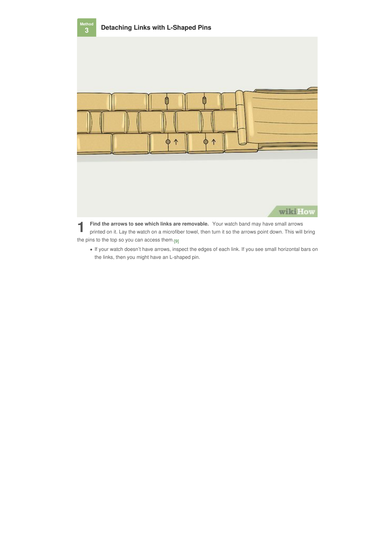<span id="page-7-0"></span>

**1 1 1 1 1 ind the arrows to see which links are removable. Your watch band may have small arrows printed on it. Lay the watch on a microfiber towel, then turn it so the arrows point down. This will bring** the pins to the top so you can access them.<sub>[\[9\]](#page-17-10)</sub>

<span id="page-7-1"></span>If your watch doesn't have arrows, inspect the edges of each link. If you see small horizontal bars on the links, then you might have an L-shaped pin.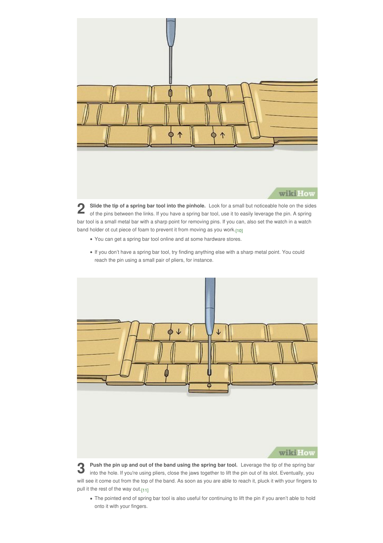

**2** Slide the tip of a spring bar tool into the pinhole. Look for a small but noticeable hole on the sides of the pins between the links. If you have a spring bar tool, use it to easily leverage the pin. A spring **Slide the tip of a spring bar tool into the pinhole.** Look for a small but noticeable hole on the sides bar tool is a small metal bar with a sharp point for removing pins. If you can, also set the watch in a watch band holder ot cut piece of foam to prevent it from moving as you work. [\[10\]](#page-18-0)

- <span id="page-8-0"></span>You can get a spring bar tool online and at some hardware stores.
- If you don't have a spring bar tool, try finding anything else with a sharp metal point. You could reach the pin using a small pair of pliers, for instance.



**3** Push the pin up and out of the band using the spring bar tool. Leverage the tip of the spring bar into the hole. If you're using pliers, close the jaws together to lift the pin out of its slot. Eventually, you **Push the pin up and out of the band using the spring bar tool.** Leverage the tip of the spring bar will see it come out from the top of the band. As soon as you are able to reach it, pluck it with your fingers to pull it the rest of the way out.<sub>[\[11\]](#page-18-1)</sub>

<span id="page-8-1"></span>The pointed end of spring bar tool is also useful for continuing to lift the pin if you aren't able to hold onto it with your fingers.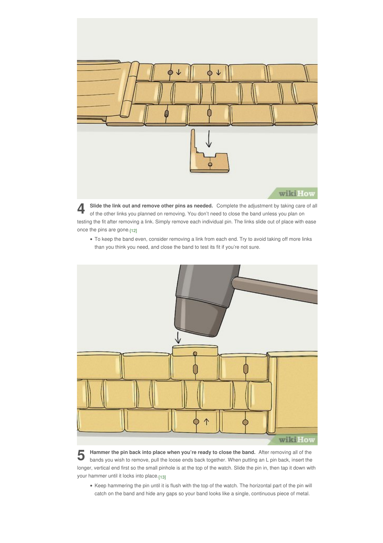

**4** Slide the link out and remove other pins as needed. Complete the adjustment by taking care of a of the other links you planned on removing. You don't need to close the band unless you plan on **Slide the link out and remove other pins as needed.** Complete the adjustment by taking care of all testing the fit after removing a link. Simply remove each individual pin. The links slide out of place with ease once the pins are gone.<sub>[\[12\]](#page-18-2)</sub>

<span id="page-9-0"></span>To keep the band even, consider removing a link from each end. Try to avoid taking off more links than you think you need, and close the band to test its fit if you're not sure.



**5** Hammer the pin back into place when you're ready to close the band. After removing all of the bands you wish to remove, pull the loose ends back together. When putting an L pin back, insert the **Hammer the pin back into place when you're ready to close the band.** After removing all of the longer, vertical end first so the small pinhole is at the top of the watch. Slide the pin in, then tap it down with your hammer until it locks into place.<sub>[\[13\]](#page-18-3)</sub>

<span id="page-9-1"></span>Keep hammering the pin until it is flush with the top of the watch. The horizontal part of the pin will catch on the band and hide any gaps so your band looks like a single, continuous piece of metal.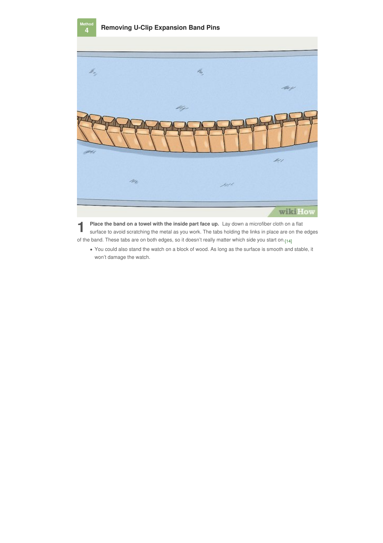<span id="page-10-0"></span>**4**



**1 Place the band on a towel with the inside part face up.** Lay down a microfiber cloth on a flat surface to avoid scratching the metal as you work. The tabs holding the links in place are on the edges **Place the band on a towel with the inside part face up.** Lay down a microfiber cloth on a flat of the band. These tabs are on both edges, so it doesn't really matter which side you start on.<sub>[\[14\]](#page-18-4)</sub>

<span id="page-10-1"></span>You could also stand the watch on a block of wood. As long as the surface is smooth and stable, it won't damage the watch.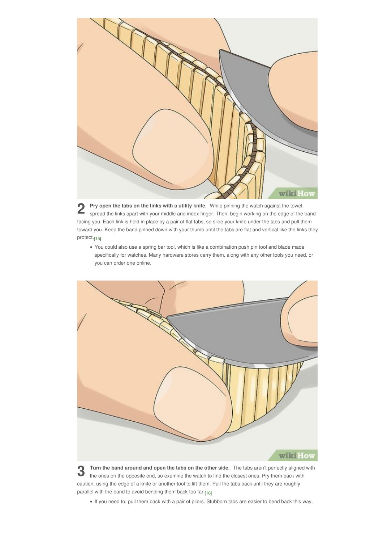

**2** Pry open the tabs on the links with a utility knife. While pinning the watch against the towel, spread the links apart with your middle and index finger. Then, begin working on the edge of the band **Pry open the tabs on the links with a utility knife.** While pinning the watch against the towel, facing you. Each link is held in place by a pair of flat tabs, so slide your knife under the tabs and pull them toward you. Keep the band pinned down with your thumb until the tabs are flat and vertical like the links they protect.[15]

<span id="page-11-0"></span>• You could also use a spring bar tool, which is like a combination push pin tool and blade made specifically for watches. Many hardware stores carry them, along with any other tools you need, or you can order one online.



**3** Turn the band around and open the tabs on the other side. The tabs aren't perfectly aligned with the ones on the opposite end, so examine the watch to find the closest ones. Pry them back with **Turn the band around and open the tabs on the other side.** The tabs aren't perfectly aligned with caution, using the edge of a knife or another tool to lift them. Pull the tabs back until they are roughly parallel with the band to avoid bending them back too far.<sub>[\[16\]](#page-18-6)</sub>

<span id="page-11-1"></span>If you need to, pull them back with a pair of pliers. Stubborn tabs are easier to bend back this way.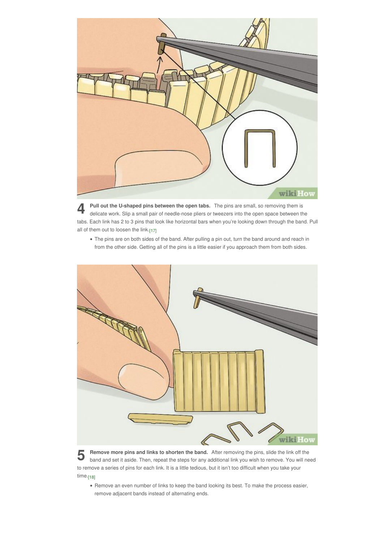

**4** Pull out the U-shaped pins between the open tabs. The pins are small, so removing them is delicate work. Slip a small pair of needle-nose pliers or tweezers into the open space between the **Pull out the U-shaped pins between the open tabs.** The pins are small, so removing them is tabs. Each link has 2 to 3 pins that look like horizontal bars when you're looking down through the band. Pull all of them out to loosen the link. [\[17\]](#page-18-7)

<span id="page-12-0"></span>The pins are on both sides of the band. After pulling a pin out, turn the band around and reach in from the other side. Getting all of the pins is a little easier if you approach them from both sides.



**5 6 hand and set it aside. Then, repeat the steps for any additional link you wish to remove. You will need band and set it aside. Then, repeat the steps for any additional link you wish to remove. You will need Remove more pins and links to shorten the band.** After removing the pins, slide the link off the to remove a series of pins for each link. It is a little tedious, but it isn't too difficult when you take your time.<sub>[\[18\]](#page-18-8)</sub>

<span id="page-12-1"></span>Remove an even number of links to keep the band looking its best. To make the process easier, remove adjacent bands instead of alternating ends.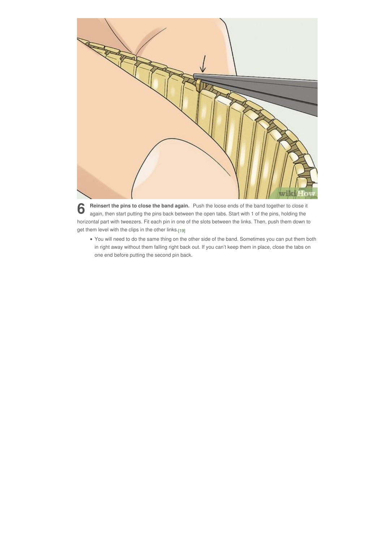

**6** Reinsert the pins to close the band again. Push the loose ends of the band together to close it again, then start putting the pins back between the open tabs. Start with 1 of the pins, holding the **Reinsert the pins to close the band again.** Push the loose ends of the band together to close it horizontal part with tweezers. Fit each pin in one of the slots between the links. Then, push them down to get them level with the clips in the other links.<sub>[\[19\]](#page-18-9)</sub>

<span id="page-13-0"></span>You will need to do the same thing on the other side of the band. Sometimes you can put them both in right away without them falling right back out. If you can't keep them in place, close the tabs on one end before putting the second pin back.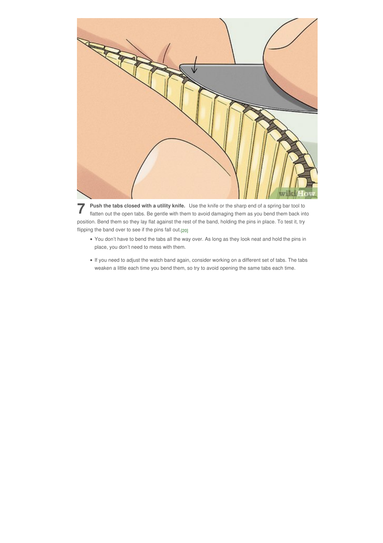

**7** Push the tabs closed with a utility knife. Use the knife or the sharp end of a spring bar tool to flatten out the open tabs. Be gentle with them to avoid damaging them as you bend them back into **Push the tabs closed with a utility knife.** Use the knife or the sharp end of a spring bar tool to position. Bend them so they lay flat against the rest of the band, holding the pins in place. To test it, try flipping the band over to see if the pins fall out.<sub>[\[20\]](#page-18-10)</sub>

- <span id="page-14-0"></span>You don't have to bend the tabs all the way over. As long as they look neat and hold the pins in place, you don't need to mess with them.
- If you need to adjust the watch band again, consider working on a different set of tabs. The tabs weaken a little each time you bend them, so try to avoid opening the same tabs each time.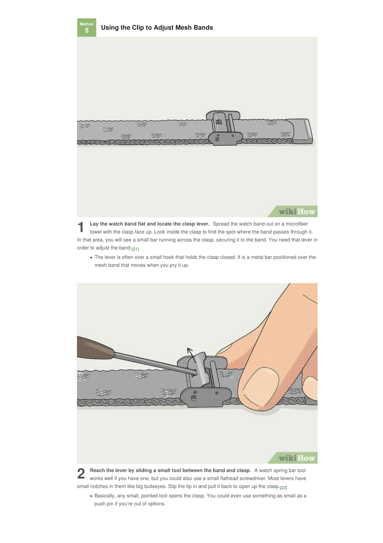<span id="page-15-0"></span>

**5**



**1** Lay the watch band flat and locate the clasp lever. Spread the watch band out on a microfiber towel with the clasp face up. Look inside the clasp to find the spot where the band passes through it. **Lay the watch band flat and locate the clasp lever.** Spread the watch band out on a microfiber In that area, you will see a small bar running across the clasp, securing it to the band. You need that lever in order to adjust the band.<sub>[\[21\]](#page-18-11)</sub>

<span id="page-15-1"></span>The lever is often over a small hook that holds the clasp closed. It is a metal bar positioned over the mesh band that moves when you pry it up.



**2** Reach the lever by sliding a small tool between the band and clasp. A watch spring bar tool works well if you have one, but you could also use a small flathead screwdriver. Most levers have small notches in them like big bullseyes. Slip the tip in and pull it back to open up the clasp.<sub>[\[22\]](#page-18-12)</sub>

<span id="page-15-2"></span>Basically, any small, pointed tool opens the clasp. You could even use something as small as a push pin if you're out of options.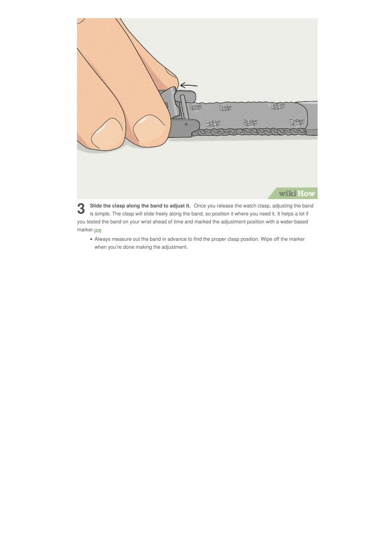

**3** Slide the clasp along the band to adjust it. Once you release the watch clasp, adjusting the band is simple. The clasp will slide freely along the band, so position it where you need it. It helps a lot if you tested the band on your wrist ahead of time and marked the adjustment position with a water-based marker.[23]

<span id="page-16-0"></span>• Always measure out the band in advance to find the proper clasp position[.](#page-18-13) Wipe off the marker when you're done making the adjustment.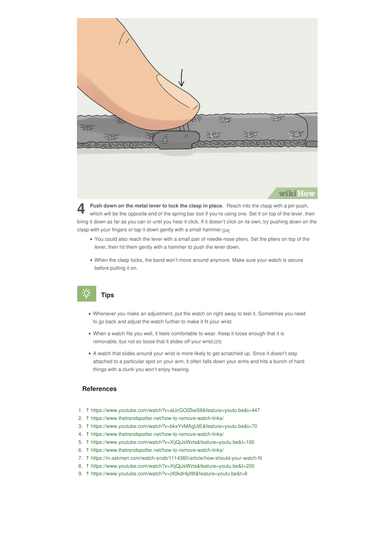

**4** Push down on the metal lever to lock the clasp in place. Reach into the clasp with a pin push, which will be the opposite end of the spring bar tool if you're using one. Set it on top of the lever, then **Push down on the metal lever to lock the clasp in place.** Reach into the clasp with a pin push, bring it down as far as you can or until you hear it click. If it doesn't click on its own, try pushing down on the clasp with your fingers or tap it down gently with a small hammer. [\[24\]](#page-18-14)

- <span id="page-17-11"></span>You could also reach the lever with a small pair of needle-nose pliers. Set the pliers on top of the lever, then hit them gently with a hammer to push the lever down.
- When the clasp locks, the band won't move around anymore. Make sure your watch is secure before putting it on.

## **Tips**

- <span id="page-17-0"></span>Whenever you make an adjustment, put the watch on right away to test it. Sometimes you need to go back and adjust the watch further to make it fit your wrist.
- <span id="page-17-12"></span>When a watch fits you well, it feels comfortable to wear. Keep it loose enough that it is removable, but not so loose that it slides off your wrist. [\[25\]](#page-18-15)
- A watch that slides around your wrist is more likely to get scratched up. Since it doesn't stay attached to a particular spot on your arm, it often falls down your arms and hits a bunch of hard things with a clunk you won't enjoy hearing.

#### <span id="page-17-1"></span>**References**

- <span id="page-17-2"></span>1. [↑](#page-1-1) [https://www.youtube.com/watch?v=aUcGOlZkeS8&feature=youtu.be&t=447](https://www.wikihow.comhttps//www.youtube.com/watch?v=aUcGOlZkeS8&feature=youtu.be&t=447)
- <span id="page-17-3"></span>2. [↑](#page-2-0) [https://www.thetrendspotter.net/how-to-remove-watch-links/](https://www.wikihow.comhttps//www.thetrendspotter.net/how-to-remove-watch-links/)
- <span id="page-17-4"></span>3. [↑](#page-2-1) [https://www.youtube.com/watch?v=bkxYvMAgUtE&feature=youtu.be&t=70](https://www.wikihow.comhttps//www.youtube.com/watch?v=bkxYvMAgUtE&feature=youtu.be&t=70)
- <span id="page-17-5"></span>4. [↑](#page-3-1) [https://www.thetrendspotter.net/how-to-remove-watch-links/](https://www.wikihow.comhttps//www.thetrendspotter.net/how-to-remove-watch-links/)
- <span id="page-17-6"></span>5. [↑](#page-4-0) [https://www.youtube.com/watch?v=XijQjJsWzts&feature=youtu.be&t=100](https://www.wikihow.comhttps//www.youtube.com/watch?v=XijQjJsWzts&feature=youtu.be&t=100)
- <span id="page-17-7"></span>6. [↑](#page-5-0) [https://www.thetrendspotter.net/how-to-remove-watch-links/](https://www.wikihow.comhttps//www.thetrendspotter.net/how-to-remove-watch-links/)
- <span id="page-17-8"></span>7. [↑](#page-6-0) [https://in.askmen.com/watch-snob/1114380/article/how-should-your-watch-fit](https://www.wikihow.comhttps//in.askmen.com/watch-snob/1114380/article/how-should-your-watch-fit)
- <span id="page-17-9"></span>8. [↑](#page-6-1) [https://www.youtube.com/watch?v=XijQjJsWzts&feature=youtu.be&t=200](https://www.wikihow.comhttps//www.youtube.com/watch?v=XijQjJsWzts&feature=youtu.be&t=200)
- <span id="page-17-10"></span>9. [↑](#page-7-1) [https://www.youtube.com/watch?v=jX0kdr4pf8I&feature=youtu.be&t=8](https://www.wikihow.comhttps//www.youtube.com/watch?v=jX0kdr4pf8I&feature=youtu.be&t=8)